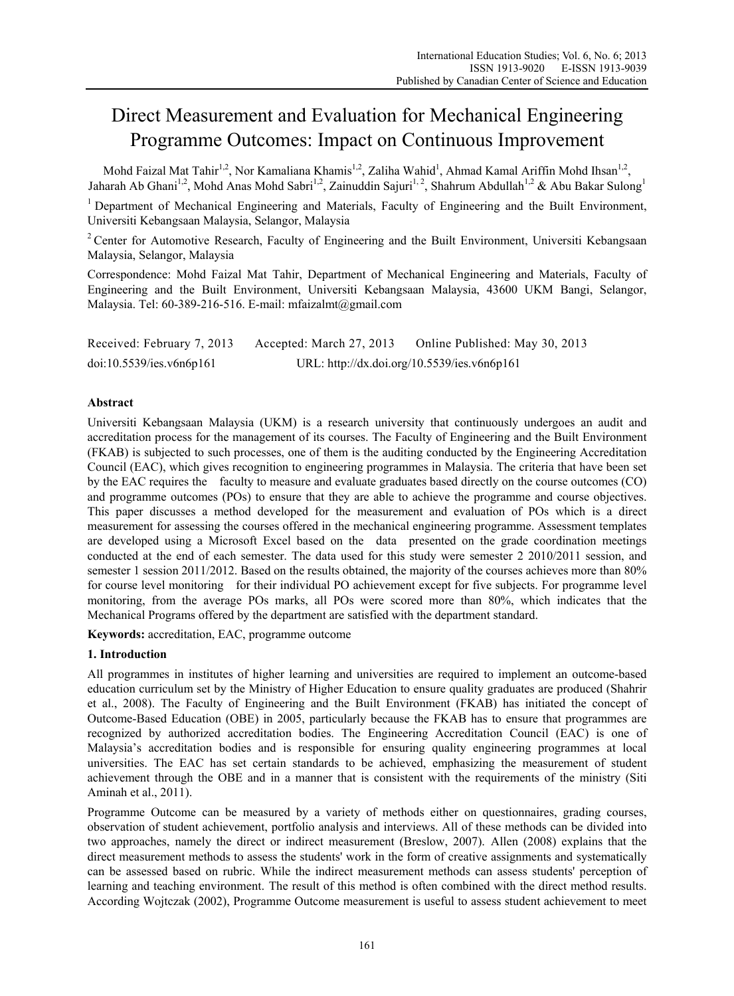# Direct Measurement and Evaluation for Mechanical Engineering Programme Outcomes: Impact on Continuous Improvement

Mohd Faizal Mat Tahir<sup>1,2</sup>, Nor Kamaliana Khamis<sup>1,2</sup>, Zaliha Wahid<sup>1</sup>, Ahmad Kamal Ariffin Mohd Ihsan<sup>1,2</sup>, Jaharah Ab Ghani<sup>1,2</sup>, Mohd Anas Mohd Sabri<sup>1,2</sup>, Zainuddin Sajuri<sup>1,2</sup>, Shahrum Abdullah<sup>1,2</sup> & Abu Bakar Sulong<sup>1</sup>

<sup>1</sup> Department of Mechanical Engineering and Materials, Faculty of Engineering and the Built Environment, Universiti Kebangsaan Malaysia, Selangor, Malaysia

<sup>2</sup> Center for Automotive Research, Faculty of Engineering and the Built Environment, Universiti Kebangsaan Malaysia, Selangor, Malaysia

Correspondence: Mohd Faizal Mat Tahir, Department of Mechanical Engineering and Materials, Faculty of Engineering and the Built Environment, Universiti Kebangsaan Malaysia, 43600 UKM Bangi, Selangor, Malaysia. Tel: 60-389-216-516. E-mail: mfaizalmt@gmail.com

| Received: February 7, 2013 | Accepted: March 27, 2013 | Online Published: May 30, 2013              |
|----------------------------|--------------------------|---------------------------------------------|
| doi:10.5539/ies.v6n6p161   |                          | URL: http://dx.doi.org/10.5539/ies.v6n6p161 |

## **Abstract**

Universiti Kebangsaan Malaysia (UKM) is a research university that continuously undergoes an audit and accreditation process for the management of its courses. The Faculty of Engineering and the Built Environment (FKAB) is subjected to such processes, one of them is the auditing conducted by the Engineering Accreditation Council (EAC), which gives recognition to engineering programmes in Malaysia. The criteria that have been set by the EAC requires the faculty to measure and evaluate graduates based directly on the course outcomes (CO) and programme outcomes (POs) to ensure that they are able to achieve the programme and course objectives. This paper discusses a method developed for the measurement and evaluation of POs which is a direct measurement for assessing the courses offered in the mechanical engineering programme. Assessment templates are developed using a Microsoft Excel based on the data presented on the grade coordination meetings conducted at the end of each semester. The data used for this study were semester 2 2010/2011 session, and semester 1 session 2011/2012. Based on the results obtained, the majority of the courses achieves more than 80% for course level monitoring for their individual PO achievement except for five subjects. For programme level monitoring, from the average POs marks, all POs were scored more than 80%, which indicates that the Mechanical Programs offered by the department are satisfied with the department standard.

**Keywords:** accreditation, EAC, programme outcome

## **1. Introduction**

All programmes in institutes of higher learning and universities are required to implement an outcome-based education curriculum set by the Ministry of Higher Education to ensure quality graduates are produced (Shahrir et al., 2008). The Faculty of Engineering and the Built Environment (FKAB) has initiated the concept of Outcome-Based Education (OBE) in 2005, particularly because the FKAB has to ensure that programmes are recognized by authorized accreditation bodies. The Engineering Accreditation Council (EAC) is one of Malaysia's accreditation bodies and is responsible for ensuring quality engineering programmes at local universities. The EAC has set certain standards to be achieved, emphasizing the measurement of student achievement through the OBE and in a manner that is consistent with the requirements of the ministry (Siti Aminah et al., 2011).

Programme Outcome can be measured by a variety of methods either on questionnaires, grading courses, observation of student achievement, portfolio analysis and interviews. All of these methods can be divided into two approaches, namely the direct or indirect measurement (Breslow, 2007). Allen (2008) explains that the direct measurement methods to assess the students' work in the form of creative assignments and systematically can be assessed based on rubric. While the indirect measurement methods can assess students' perception of learning and teaching environment. The result of this method is often combined with the direct method results. According Wojtczak (2002), Programme Outcome measurement is useful to assess student achievement to meet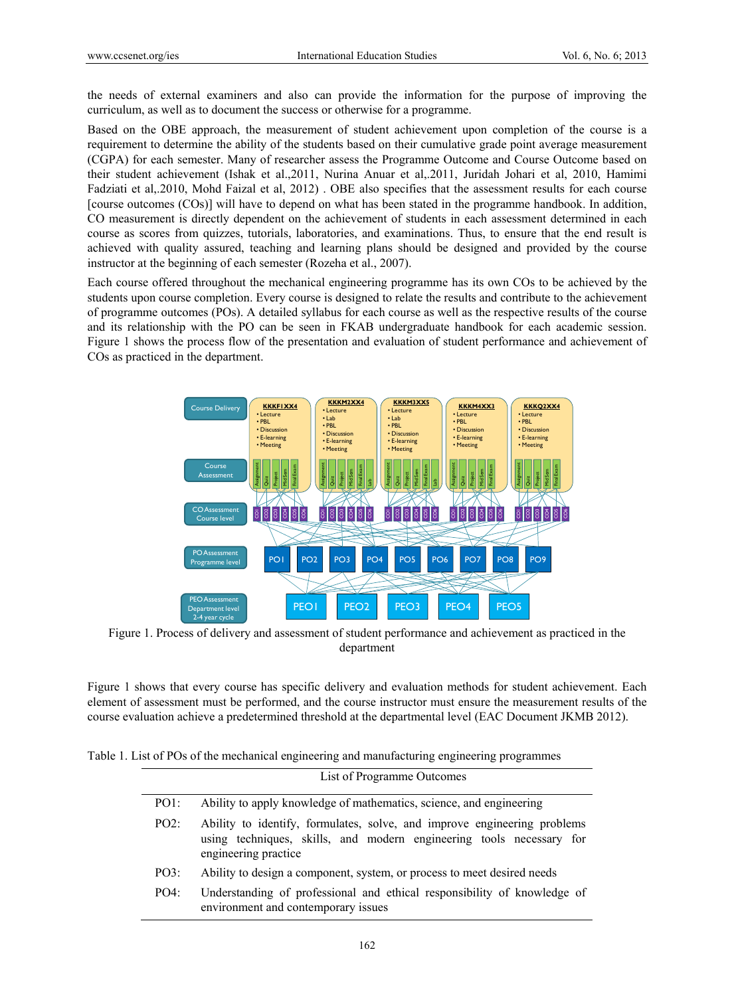the needs of external examiners and also can provide the information for the purpose of improving the curriculum, as well as to document the success or otherwise for a programme.

Based on the OBE approach, the measurement of student achievement upon completion of the course is a requirement to determine the ability of the students based on their cumulative grade point average measurement (CGPA) for each semester. Many of researcher assess the Programme Outcome and Course Outcome based on their student achievement (Ishak et al.,2011, Nurina Anuar et al,.2011, Juridah Johari et al, 2010, Hamimi Fadziati et al,.2010, Mohd Faizal et al, 2012) . OBE also specifies that the assessment results for each course [course outcomes (COs)] will have to depend on what has been stated in the programme handbook. In addition, CO measurement is directly dependent on the achievement of students in each assessment determined in each course as scores from quizzes, tutorials, laboratories, and examinations. Thus, to ensure that the end result is achieved with quality assured, teaching and learning plans should be designed and provided by the course instructor at the beginning of each semester (Rozeha et al., 2007).

Each course offered throughout the mechanical engineering programme has its own COs to be achieved by the students upon course completion. Every course is designed to relate the results and contribute to the achievement of programme outcomes (POs). A detailed syllabus for each course as well as the respective results of the course and its relationship with the PO can be seen in FKAB undergraduate handbook for each academic session. Figure 1 shows the process flow of the presentation and evaluation of student performance and achievement of COs as practiced in the department.



Figure 1. Process of delivery and assessment of student performance and achievement as practiced in the department

Figure 1 shows that every course has specific delivery and evaluation methods for student achievement. Each element of assessment must be performed, and the course instructor must ensure the measurement results of the course evaluation achieve a predetermined threshold at the departmental level (EAC Document JKMB 2012).

Table 1. List of POs of the mechanical engineering and manufacturing engineering programmes

|      | List of Programme Outcomes                                                                                                                                               |
|------|--------------------------------------------------------------------------------------------------------------------------------------------------------------------------|
| PO1: | Ability to apply knowledge of mathematics, science, and engineering                                                                                                      |
| PO2: | Ability to identify, formulates, solve, and improve engineering problems<br>using techniques, skills, and modern engineering tools necessary for<br>engineering practice |
| PO3: | Ability to design a component, system, or process to meet desired needs                                                                                                  |
| PO4: | Understanding of professional and ethical responsibility of knowledge of<br>environment and contemporary issues                                                          |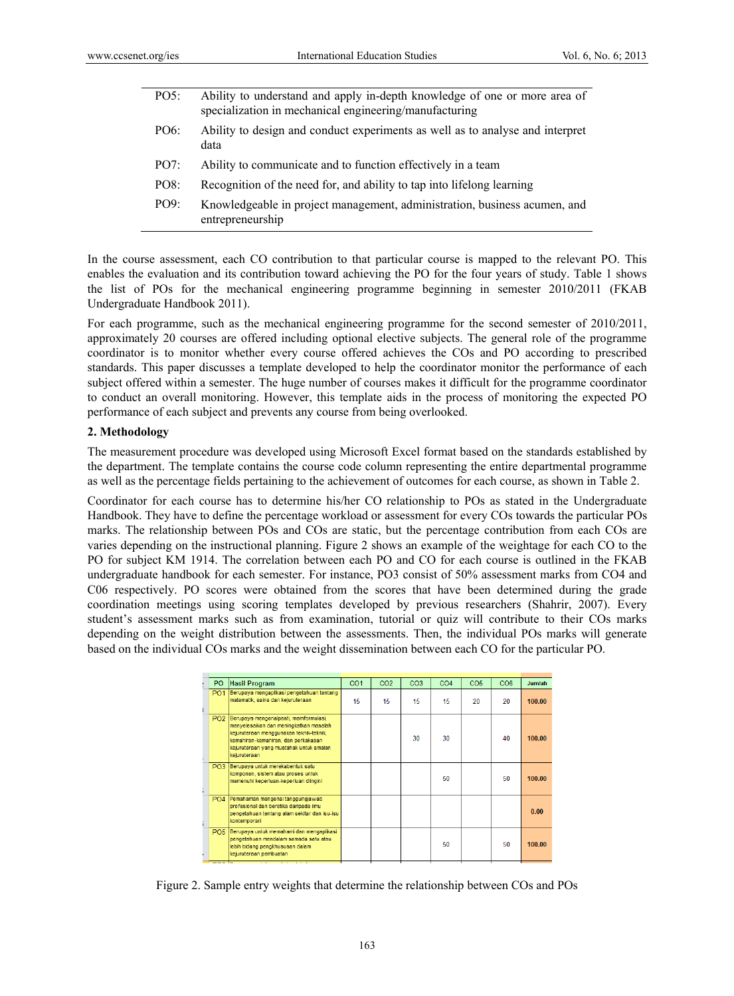| PO5: | Ability to understand and apply in-depth knowledge of one or more area of<br>specialization in mechanical engineering/manufacturing |
|------|-------------------------------------------------------------------------------------------------------------------------------------|
| PO6: | Ability to design and conduct experiments as well as to analyse and interpret<br>data                                               |
| PO7: | Ability to communicate and to function effectively in a team                                                                        |
| PO8: | Recognition of the need for, and ability to tap into lifelong learning                                                              |
| PO9: | Knowledgeable in project management, administration, business acumen, and<br>entrepreneurship                                       |

In the course assessment, each CO contribution to that particular course is mapped to the relevant PO. This enables the evaluation and its contribution toward achieving the PO for the four years of study. Table 1 shows the list of POs for the mechanical engineering programme beginning in semester 2010/2011 (FKAB Undergraduate Handbook 2011).

For each programme, such as the mechanical engineering programme for the second semester of 2010/2011, approximately 20 courses are offered including optional elective subjects. The general role of the programme coordinator is to monitor whether every course offered achieves the COs and PO according to prescribed standards. This paper discusses a template developed to help the coordinator monitor the performance of each subject offered within a semester. The huge number of courses makes it difficult for the programme coordinator to conduct an overall monitoring. However, this template aids in the process of monitoring the expected PO performance of each subject and prevents any course from being overlooked.

### **2. Methodology**

The measurement procedure was developed using Microsoft Excel format based on the standards established by the department. The template contains the course code column representing the entire departmental programme as well as the percentage fields pertaining to the achievement of outcomes for each course, as shown in Table 2.

Coordinator for each course has to determine his/her CO relationship to POs as stated in the Undergraduate Handbook. They have to define the percentage workload or assessment for every COs towards the particular POs marks. The relationship between POs and COs are static, but the percentage contribution from each COs are varies depending on the instructional planning. Figure 2 shows an example of the weightage for each CO to the PO for subject KM 1914. The correlation between each PO and CO for each course is outlined in the FKAB undergraduate handbook for each semester. For instance, PO3 consist of 50% assessment marks from CO4 and C06 respectively. PO scores were obtained from the scores that have been determined during the grade coordination meetings using scoring templates developed by previous researchers (Shahrir, 2007). Every student's assessment marks such as from examination, tutorial or quiz will contribute to their COs marks depending on the weight distribution between the assessments. Then, the individual POs marks will generate based on the individual COs marks and the weight dissemination between each CO for the particular PO.

| P <sub>O</sub>       | <b>Hasil Program</b>                                                                                                                                                                                                         | CO <sub>1</sub> | CO <sub>2</sub> | CO <sub>3</sub> | CO <sub>4</sub> | CO <sub>5</sub> | CO <sub>6</sub> | Jumlah |
|----------------------|------------------------------------------------------------------------------------------------------------------------------------------------------------------------------------------------------------------------------|-----------------|-----------------|-----------------|-----------------|-----------------|-----------------|--------|
| <b>PO1</b>           | Berupaya mengaplikasi pengetahuan tentang<br>matematik, sains dan kejuruteraan                                                                                                                                               | 15              | 15              | 15              | 15              | 20              | 20              | 100.00 |
| PO <sub>2</sub>      | Berupaya mengenalpasti, memformulasi,<br>menyelesaikan dan meningkatkan masalah<br>kejuruteraan menggunakan teknik-teknik,<br>kemahiran-kemahiran, dan perkakasan<br>kejuruteraan vang mustahak untuk amalan<br>kejuruteraan |                 |                 | 30              | 30              |                 | 40              | 100.00 |
| PO <sub>3</sub>      | Berupaya untuk merekabentuk satu<br>komponen, sistem atau proses untuk<br>memenuhi keperluan-keperluan diingini                                                                                                              |                 |                 |                 | 50              |                 | 50              | 100.00 |
| PO <sub>4</sub>      | Pemahaman mengenai tanggungjawab<br>profesional dan beretika daripada ilmu<br>pengetahuan tentang alam sekitar dan isu-isu<br>kontemporari                                                                                   |                 |                 |                 |                 |                 |                 | 0.00   |
| <b>PO5</b>           | Berupaya untuk memahami dan mengaplikasi<br>pengetahuan mendalam samada satu atau<br>lebih bidang pengkhususan dalam<br>kejuruteraan pembuatan                                                                               |                 |                 |                 | 50              |                 | 50              | 100.00 |
| $\sim$ $\sim$ $\sim$ | the company's company's company's company's                                                                                                                                                                                  |                 |                 |                 |                 |                 |                 |        |

Figure 2. Sample entry weights that determine the relationship between COs and POs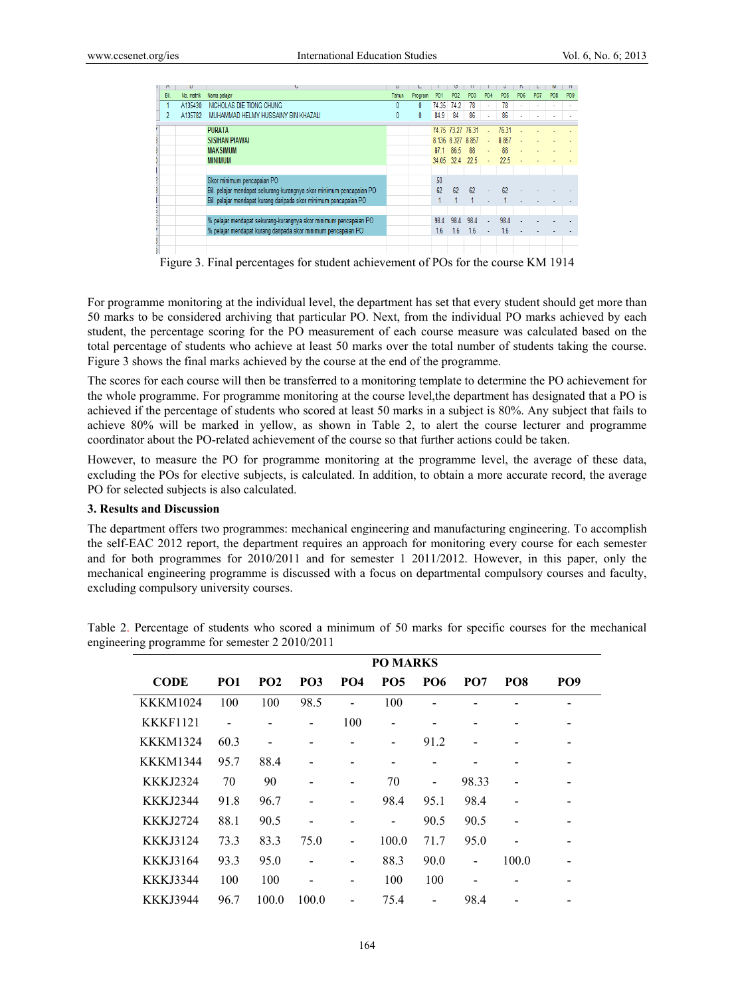| M          |            | U                                                                   |       |         |                 |                   |                 |            |                 |                 |                 |                             |                 |
|------------|------------|---------------------------------------------------------------------|-------|---------|-----------------|-------------------|-----------------|------------|-----------------|-----------------|-----------------|-----------------------------|-----------------|
| <b>Bil</b> | No. matrik | Nama pelajar                                                        | Tahun | Program | P <sub>01</sub> | <b>PO2</b>        | PO <sub>3</sub> | <b>PO4</b> | PO <sub>5</sub> | PO <sub>6</sub> | P <sub>07</sub> | P <sub>O</sub> <sub>8</sub> | PO <sub>9</sub> |
|            | A135430    | NICHOLAS DIE TIONG CHUNG                                            |       | 0       | 74.35           | 74.2              | 78              |            | 78              |                 |                 |                             |                 |
| 2          | A135782    | MUHAMMAD HELMY HUSSAINY BIN KHAZALI                                 | 0     | 0       | 84.9            | 84                | 86              | ×.         | 86              |                 |                 |                             |                 |
|            |            | <b>PURATA</b>                                                       |       |         |                 | 74 75 73 27 76 31 |                 |            | 76.31           |                 |                 |                             |                 |
|            |            | <b>SISIHAN PIAWAI</b>                                               |       |         |                 | 8.136 8.327 8.857 |                 |            | 8.857           |                 |                 |                             |                 |
|            |            | <b>MAKSIMUM</b>                                                     |       |         | 87.1            | 86.5              | 88              | ÷          | 88              |                 |                 |                             |                 |
|            |            | <b>MINIMUM</b>                                                      |       |         | 34.05           | 32.4              | 22.5            | ä,         | 22.5            |                 |                 |                             |                 |
|            |            |                                                                     |       |         |                 |                   |                 |            |                 |                 |                 |                             |                 |
|            |            | Skor minimum pencapaian PO                                          |       |         | 50              |                   |                 |            |                 |                 |                 |                             |                 |
|            |            | Bil. pelajar mendapat sekurang-kurangnya skor minimum pencapaian PO |       |         | 62              | 62                | 62              |            | 62              |                 |                 |                             |                 |
|            |            | Bil. pelajar mendapat kurang daripada skor minimum pencapaian PO    |       |         |                 |                   |                 |            |                 |                 |                 |                             |                 |
|            |            |                                                                     |       |         |                 |                   |                 |            |                 |                 |                 |                             |                 |
|            |            | % pelajar mendapat sekurang-kurangnya skor minimum pencapaian PO    |       |         | 98.4            | 984               | 98.4            |            | 98.4            |                 |                 |                             |                 |
|            |            | % pelajar mendapat kurang daripada skor minimum pencapaian PO       |       |         | 1.6             | 1.6               | 1.6             |            | 1.6             |                 |                 |                             |                 |
|            |            |                                                                     |       |         |                 |                   |                 |            |                 |                 |                 |                             |                 |
|            |            |                                                                     |       |         |                 |                   |                 |            |                 |                 |                 |                             |                 |

Figure 3. Final percentages for student achievement of POs for the course KM 1914

For programme monitoring at the individual level, the department has set that every student should get more than 50 marks to be considered archiving that particular PO. Next, from the individual PO marks achieved by each student, the percentage scoring for the PO measurement of each course measure was calculated based on the total percentage of students who achieve at least 50 marks over the total number of students taking the course. Figure 3 shows the final marks achieved by the course at the end of the programme.

The scores for each course will then be transferred to a monitoring template to determine the PO achievement for the whole programme. For programme monitoring at the course level,the department has designated that a PO is achieved if the percentage of students who scored at least 50 marks in a subject is 80%. Any subject that fails to achieve 80% will be marked in yellow, as shown in Table 2, to alert the course lecturer and programme coordinator about the PO-related achievement of the course so that further actions could be taken.

However, to measure the PO for programme monitoring at the programme level, the average of these data, excluding the POs for elective subjects, is calculated. In addition, to obtain a more accurate record, the average PO for selected subjects is also calculated.

## **3. Results and Discussion**

The department offers two programmes: mechanical engineering and manufacturing engineering. To accomplish the self-EAC 2012 report, the department requires an approach for monitoring every course for each semester and for both programmes for 2010/2011 and for semester 1 2011/2012. However, in this paper, only the mechanical engineering programme is discussed with a focus on departmental compulsory courses and faculty, excluding compulsory university courses.

|                 | <b>PO MARKS</b> |                              |                 |                              |            |                          |                 |                 |                 |  |
|-----------------|-----------------|------------------------------|-----------------|------------------------------|------------|--------------------------|-----------------|-----------------|-----------------|--|
| <b>CODE</b>     | PO <sub>1</sub> | <b>PO2</b>                   | PO <sub>3</sub> | PO <sub>4</sub>              | <b>PO5</b> | <b>PO6</b>               | PO <sub>7</sub> | PO <sub>8</sub> | PO <sub>9</sub> |  |
| <b>KKKM1024</b> | 100             | 100                          | 98.5            |                              | 100        | $\blacksquare$           |                 |                 |                 |  |
| <b>KKKF1121</b> |                 |                              |                 | 100                          |            | -                        |                 |                 |                 |  |
| <b>KKKM1324</b> | 60.3            | $\qquad \qquad \blacksquare$ |                 |                              |            | 91.2                     |                 |                 |                 |  |
| <b>KKKM1344</b> | 95.7            | 88.4                         |                 |                              |            |                          |                 |                 |                 |  |
| KKKJ2324        | 70              | 90                           |                 |                              | 70         | $\overline{\phantom{0}}$ | 98.33           |                 |                 |  |
| <b>KKKJ2344</b> | 91.8            | 96.7                         |                 |                              | 98.4       | 95.1                     | 98.4            |                 |                 |  |
| KKKJ2724        | 88.1            | 90.5                         |                 |                              |            | 90.5                     | 90.5            |                 |                 |  |
| <b>KKKJ3124</b> | 73.3            | 83.3                         | 75.0            |                              | 100.0      | 71.7                     | 95.0            |                 |                 |  |
| <b>KKKJ3164</b> | 93.3            | 95.0                         |                 | $\overline{\phantom{a}}$     | 88.3       | 90.0                     | $\blacksquare$  | 100.0           |                 |  |
| <b>KKKJ3344</b> | 100             | 100                          |                 | $\qquad \qquad \blacksquare$ | 100        | 100                      |                 |                 |                 |  |
| <b>KKKJ3944</b> | 96.7            | 100.0                        | 100.0           |                              | 75.4       | $\blacksquare$           | 98.4            |                 |                 |  |

Table 2. Percentage of students who scored a minimum of 50 marks for specific courses for the mechanical engineering programme for semester 2 2010/2011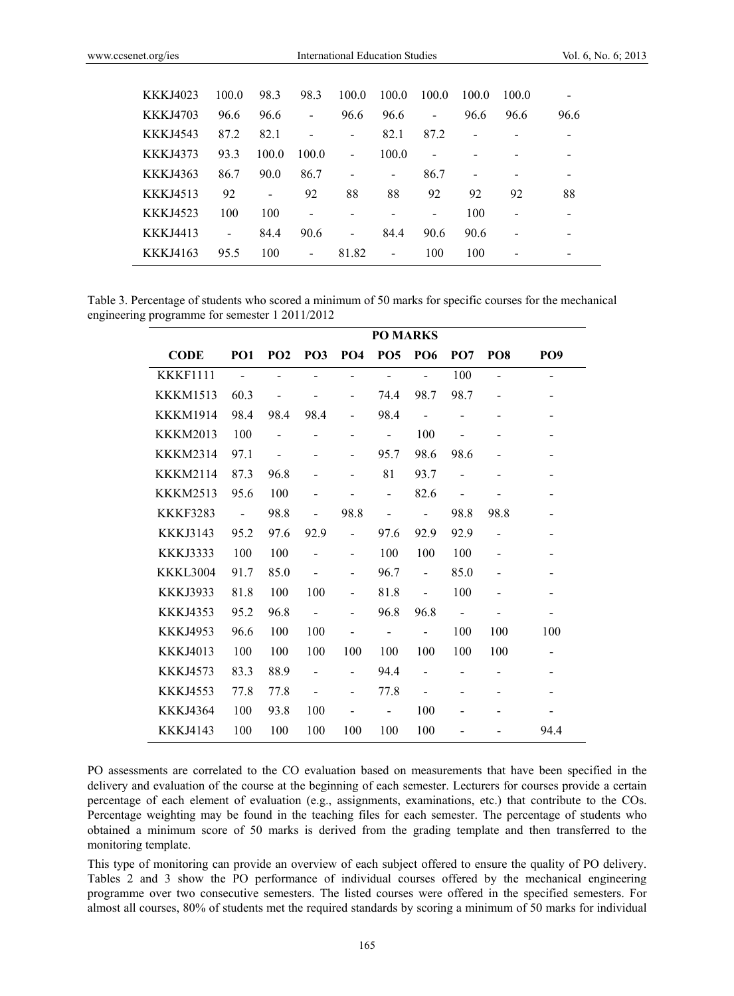| KKKJ4023        | 100.0                    | 98.3  | 98.3                         | 100.0                    | 100.0                    | 100.0                    | 100.0 | 1000 |                          |
|-----------------|--------------------------|-------|------------------------------|--------------------------|--------------------------|--------------------------|-------|------|--------------------------|
| <b>KKKJ4703</b> | 96.6                     | 96.6  | $\overline{a}$               | 96.6                     | 96.6                     | $\overline{\phantom{a}}$ | 96.6  | 96.6 | 96.6                     |
| KKKJ4543        | 87.2                     | 82.1  | $\qquad \qquad \blacksquare$ | $\overline{\phantom{a}}$ | 82.1                     | 87.2                     | -     |      | $\overline{\phantom{0}}$ |
| <b>KKKJ4373</b> | 93.3                     | 100.0 | 100.0                        | $\blacksquare$           | 100.0                    | $\blacksquare$           |       |      |                          |
| KKKJ4363        | 86.7                     | 90.0  | 86.7                         |                          |                          | 86.7                     |       |      |                          |
| KKKJ4513        | 92                       | -     | 92                           | 88                       | 88                       | 92                       | 92    | 92   | 88                       |
| KKKJ4523        | 100                      | 100   | $\overline{\phantom{a}}$     |                          |                          | $\qquad \qquad$          | 100   |      |                          |
| <b>KKKJ4413</b> | $\overline{\phantom{0}}$ | 84.4  | 90.6                         | -                        | 84.4                     | 90.6                     | 90.6  |      | $\overline{\phantom{0}}$ |
| KKKJ4163        | 95.5                     | 100   | $\overline{\phantom{a}}$     | 81.82                    | $\overline{\phantom{a}}$ | 100                      | 100   |      |                          |

Table 3. Percentage of students who scored a minimum of 50 marks for specific courses for the mechanical engineering programme for semester 1 2011/2012

|                 | <b>PO MARKS</b> |                          |                          |                              |                              |                          |                          |                          |                          |  |  |
|-----------------|-----------------|--------------------------|--------------------------|------------------------------|------------------------------|--------------------------|--------------------------|--------------------------|--------------------------|--|--|
| <b>CODE</b>     | PO <sub>1</sub> | PO <sub>2</sub>          | PO <sub>3</sub>          | PO <sub>4</sub>              | <b>PO5</b>                   | <b>PO6</b>               | PO <sub>7</sub>          | PO <sub>8</sub>          | PO <sub>9</sub>          |  |  |
| <b>KKKF1111</b> | $\blacksquare$  | $\overline{a}$           |                          | $\overline{a}$               | $\overline{a}$               |                          | 100                      | $\overline{a}$           | $\overline{\phantom{0}}$ |  |  |
| <b>KKKM1513</b> | 60.3            |                          |                          | $\qquad \qquad \blacksquare$ | 74.4                         | 98.7                     | 98.7                     |                          | -                        |  |  |
| <b>KKKM1914</b> | 98.4            | 98.4                     | 98.4                     |                              | 98.4                         |                          |                          |                          |                          |  |  |
| <b>KKKM2013</b> | 100             | $\overline{a}$           |                          |                              | $\blacksquare$               | 100                      |                          |                          | $\overline{\phantom{0}}$ |  |  |
| <b>KKKM2314</b> | 97.1            | $\overline{\phantom{0}}$ |                          |                              | 95.7                         | 98.6                     | 98.6                     |                          | $\overline{\phantom{0}}$ |  |  |
| <b>KKKM2114</b> | 87.3            | 96.8                     |                          |                              | 81                           | 93.7                     | $\overline{a}$           |                          |                          |  |  |
| <b>KKKM2513</b> | 95.6            | 100                      |                          |                              | $\overline{a}$               | 82.6                     |                          |                          | $\overline{\phantom{0}}$ |  |  |
| <b>KKKF3283</b> | $\sim$          | 98.8                     |                          | 98.8                         | $\overline{a}$               | $\blacksquare$           | 98.8                     | 98.8                     |                          |  |  |
| <b>KKKJ3143</b> | 95.2            | 97.6                     | 92.9                     | $\overline{a}$               | 97.6                         | 92.9                     | 92.9                     | $\overline{\phantom{a}}$ | -                        |  |  |
| <b>KKKJ3333</b> | 100             | 100                      |                          |                              | 100                          | 100                      | 100                      |                          |                          |  |  |
| KKKL3004        | 91.7            | 85.0                     |                          | -                            | 96.7                         | $\overline{\phantom{m}}$ | 85.0                     | -                        | $\overline{\phantom{0}}$ |  |  |
| <b>KKKJ3933</b> | 81.8            | 100                      | 100                      |                              | 81.8                         |                          | 100                      |                          |                          |  |  |
| <b>KKKJ4353</b> | 95.2            | 96.8                     | $\overline{\phantom{a}}$ |                              | 96.8                         | 96.8                     | $\overline{\phantom{a}}$ |                          | -                        |  |  |
| <b>KKKJ4953</b> | 96.6            | 100                      | 100                      |                              | $\qquad \qquad \blacksquare$ | $\overline{\phantom{a}}$ | 100                      | 100                      | 100                      |  |  |
| <b>KKKJ4013</b> | 100             | 100                      | 100                      | 100                          | 100                          | 100                      | 100                      | 100                      | Ξ.                       |  |  |
| <b>KKKJ4573</b> | 83.3            | 88.9                     |                          |                              | 94.4                         |                          |                          |                          | -                        |  |  |
| <b>KKKJ4553</b> | 77.8            | 77.8                     |                          |                              | 77.8                         |                          |                          |                          |                          |  |  |
| <b>KKKJ4364</b> | 100             | 93.8                     | 100                      |                              | $\overline{\phantom{0}}$     | 100                      |                          |                          |                          |  |  |
| <b>KKKJ4143</b> | 100             | 100                      | 100                      | 100                          | 100                          | 100                      |                          |                          | 94.4                     |  |  |

PO assessments are correlated to the CO evaluation based on measurements that have been specified in the delivery and evaluation of the course at the beginning of each semester. Lecturers for courses provide a certain percentage of each element of evaluation (e.g., assignments, examinations, etc.) that contribute to the COs. Percentage weighting may be found in the teaching files for each semester. The percentage of students who obtained a minimum score of 50 marks is derived from the grading template and then transferred to the monitoring template.

This type of monitoring can provide an overview of each subject offered to ensure the quality of PO delivery. Tables 2 and 3 show the PO performance of individual courses offered by the mechanical engineering programme over two consecutive semesters. The listed courses were offered in the specified semesters. For almost all courses, 80% of students met the required standards by scoring a minimum of 50 marks for individual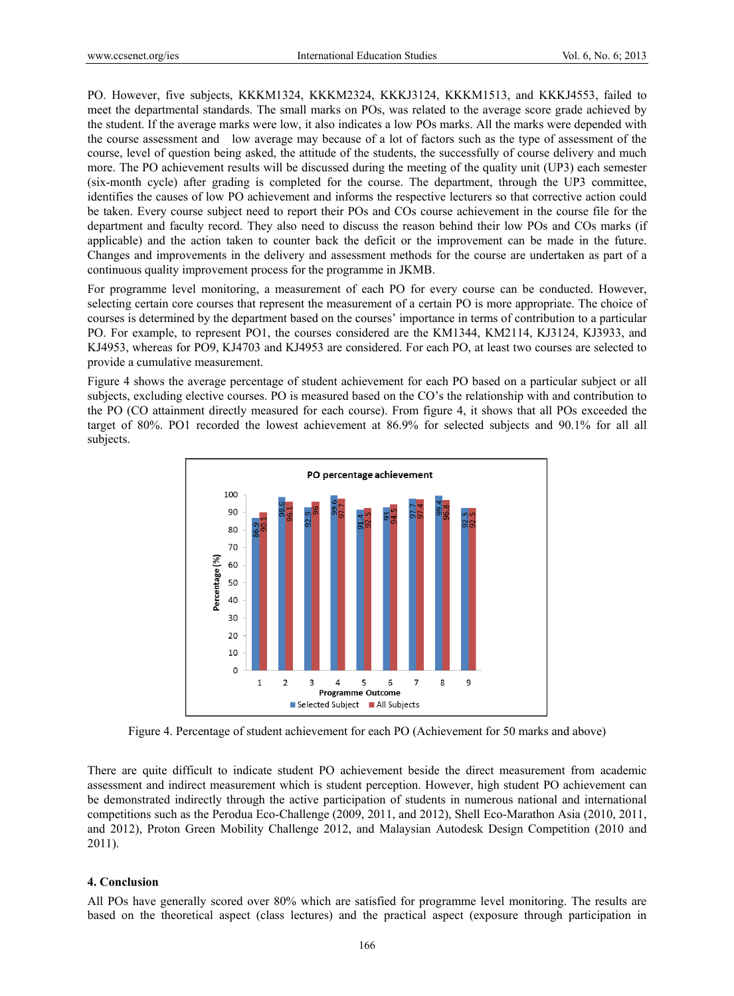PO. However, five subjects, KKKM1324, KKKM2324, KKKJ3124, KKKM1513, and KKKJ4553, failed to meet the departmental standards. The small marks on POs, was related to the average score grade achieved by the student. If the average marks were low, it also indicates a low POs marks. All the marks were depended with the course assessment and low average may because of a lot of factors such as the type of assessment of the course, level of question being asked, the attitude of the students, the successfully of course delivery and much more. The PO achievement results will be discussed during the meeting of the quality unit (UP3) each semester (six-month cycle) after grading is completed for the course. The department, through the UP3 committee, identifies the causes of low PO achievement and informs the respective lecturers so that corrective action could be taken. Every course subject need to report their POs and COs course achievement in the course file for the department and faculty record. They also need to discuss the reason behind their low POs and COs marks (if applicable) and the action taken to counter back the deficit or the improvement can be made in the future. Changes and improvements in the delivery and assessment methods for the course are undertaken as part of a continuous quality improvement process for the programme in JKMB.

For programme level monitoring, a measurement of each PO for every course can be conducted. However, selecting certain core courses that represent the measurement of a certain PO is more appropriate. The choice of courses is determined by the department based on the courses' importance in terms of contribution to a particular PO. For example, to represent PO1, the courses considered are the KM1344, KM2114, KJ3124, KJ3933, and KJ4953, whereas for PO9, KJ4703 and KJ4953 are considered. For each PO, at least two courses are selected to provide a cumulative measurement.

Figure 4 shows the average percentage of student achievement for each PO based on a particular subject or all subjects, excluding elective courses. PO is measured based on the CO's the relationship with and contribution to the PO (CO attainment directly measured for each course). From figure 4, it shows that all POs exceeded the target of 80%. PO1 recorded the lowest achievement at 86.9% for selected subjects and 90.1% for all all subjects.



Figure 4. Percentage of student achievement for each PO (Achievement for 50 marks and above)

There are quite difficult to indicate student PO achievement beside the direct measurement from academic assessment and indirect measurement which is student perception. However, high student PO achievement can be demonstrated indirectly through the active participation of students in numerous national and international competitions such as the Perodua Eco-Challenge (2009, 2011, and 2012), Shell Eco-Marathon Asia (2010, 2011, and 2012), Proton Green Mobility Challenge 2012, and Malaysian Autodesk Design Competition (2010 and 2011).

#### **4. Conclusion**

All POs have generally scored over 80% which are satisfied for programme level monitoring. The results are based on the theoretical aspect (class lectures) and the practical aspect (exposure through participation in